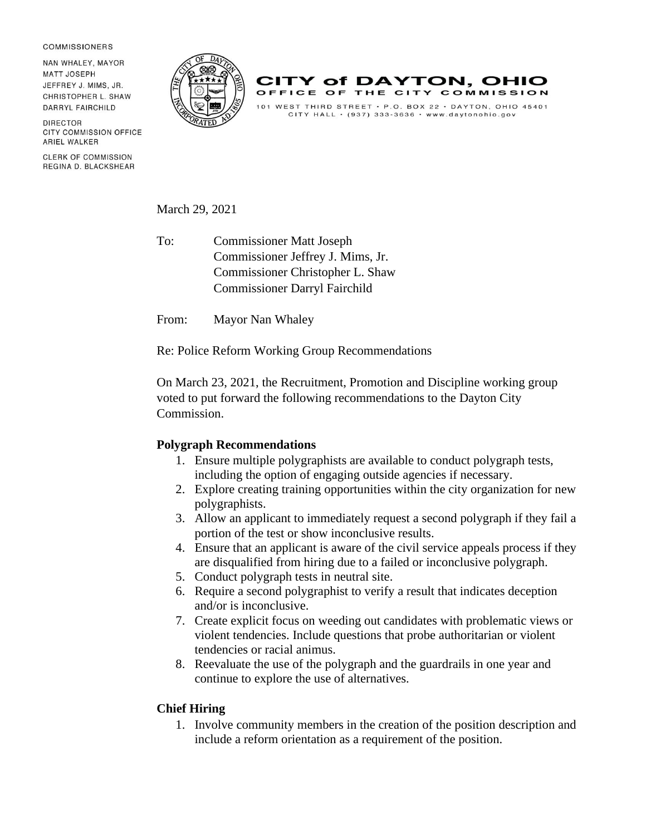## **COMMISSIONERS**

NAN WHAI FY MAYOR MATT JOSEPH JEFFREY J. MIMS, JR. CHRISTOPHER L. SHAW **DARRYL FAIRCHILD** 

**DIRECTOR CITY COMMISSION OFFICE ARIEL WALKER** 

**CLERK OF COMMISSION** REGINA D. BLACKSHEAR





March 29, 2021

To: Commissioner Matt Joseph Commissioner Jeffrey J. Mims, Jr. Commissioner Christopher L. Shaw Commissioner Darryl Fairchild

From: Mayor Nan Whaley

Re: Police Reform Working Group Recommendations

On March 23, 2021, the Recruitment, Promotion and Discipline working group voted to put forward the following recommendations to the Dayton City Commission.

## **Polygraph Recommendations**

- 1. Ensure multiple polygraphists are available to conduct polygraph tests, including the option of engaging outside agencies if necessary.
- 2. Explore creating training opportunities within the city organization for new polygraphists.
- 3. Allow an applicant to immediately request a second polygraph if they fail a portion of the test or show inconclusive results.
- 4. Ensure that an applicant is aware of the civil service appeals process if they are disqualified from hiring due to a failed or inconclusive polygraph.
- 5. Conduct polygraph tests in neutral site.
- 6. Require a second polygraphist to verify a result that indicates deception and/or is inconclusive.
- 7. Create explicit focus on weeding out candidates with problematic views or violent tendencies. Include questions that probe authoritarian or violent tendencies or racial animus.
- 8. Reevaluate the use of the polygraph and the guardrails in one year and continue to explore the use of alternatives.

## **Chief Hiring**

1. Involve community members in the creation of the position description and include a reform orientation as a requirement of the position.